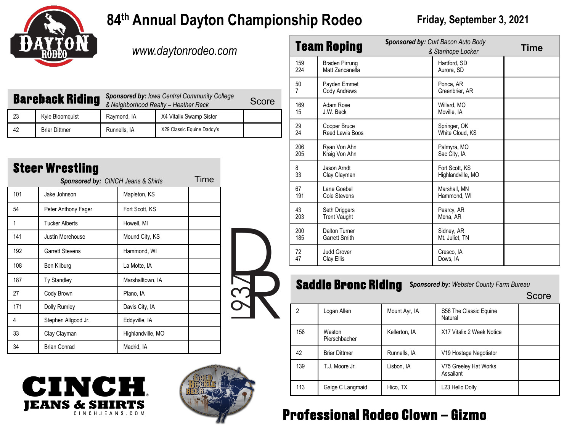

# **84<sup>th</sup> Annual Dayton Championship Rodeo** Friday, September 3, 2021

*www.daytonrodeo.com*

| <b>Bareback Riding</b> |                      | <b>Sponsored by: Iowa Central Community College</b><br>& Neighborhood Realty - Heather Reck |                            | Score |
|------------------------|----------------------|---------------------------------------------------------------------------------------------|----------------------------|-------|
| 23                     | Kyle Bloomquist      | Raymond, IA                                                                                 | X4 Vitalix Swamp Sister    |       |
| 42                     | <b>Briar Dittmer</b> | Runnells, IA                                                                                | X29 Classic Equine Daddy's |       |

| <b>Steer Wrestling</b><br>Time<br><b>Sponsored by: CINCH Jeans &amp; Shirts</b> |                        |                   |  |  |  |  |
|---------------------------------------------------------------------------------|------------------------|-------------------|--|--|--|--|
| 101                                                                             | Jake Johnson           | Mapleton, KS      |  |  |  |  |
| 54                                                                              | Peter Anthony Fager    | Fort Scott, KS    |  |  |  |  |
| 1                                                                               | <b>Tucker Alberts</b>  | Howell, MI        |  |  |  |  |
| 141                                                                             | Justin Morehouse       | Mound City, KS    |  |  |  |  |
| 192                                                                             | <b>Garrett Stevens</b> | Hammond, WI       |  |  |  |  |
| 108                                                                             | Ben Kilburg            | La Motte, IA      |  |  |  |  |
| 187                                                                             | <b>Ty Standley</b>     | Marshalltown, IA  |  |  |  |  |
| 27                                                                              | Cody Brown             | Plano, IA         |  |  |  |  |
| 171                                                                             | <b>Dolly Rumley</b>    | Davis City, IA    |  |  |  |  |
| 4                                                                               | Stephen Allgood Jr.    | Eddyville, IA     |  |  |  |  |
| 33                                                                              | Clay Clayman           | Highlandville, MO |  |  |  |  |
| 34                                                                              | <b>Brian Conrad</b>    | Madrid, IA        |  |  |  |  |





| <b>Team Roping</b>   |                                              | <b>Sponsored by: Curt Bacon Auto Body</b><br>& Stanhope Locker |                                     | Time |
|----------------------|----------------------------------------------|----------------------------------------------------------------|-------------------------------------|------|
| 159<br>224           | <b>Braden Pirrung</b><br>Matt Zancanella     |                                                                | Hartford, SD<br>Aurora, SD          |      |
| 50<br>$\overline{7}$ | Payden Emmet<br>Cody Andrews                 |                                                                | Ponca, AR<br>Greenbrier, AR         |      |
| 169<br>15            | Adam Rose<br>J.W. Beck                       |                                                                | Willard, MO<br>Moville, IA          |      |
| 29<br>24             | Cooper Bruce<br>Reed Lewis Boos              |                                                                | Springer, OK<br>White Cloud, KS     |      |
| 206<br>205           | Ryan Von Ahn<br>Kraig Von Ahn                |                                                                | Palmyra, MO<br>Sac City, IA         |      |
| 8<br>33              | Jason Arndt<br>Clay Clayman                  |                                                                | Fort Scott, KS<br>Highlandville, MO |      |
| 67<br>191            | Lane Goebel<br><b>Cole Stevens</b>           |                                                                | Marshall, MN<br>Hammond, WI         |      |
| 43<br>203            | Seth Driggers<br><b>Trent Vaught</b>         |                                                                | Pearcy, AR<br>Mena, AR              |      |
| 200<br>185           | <b>Dalton Turner</b><br><b>Garrett Smith</b> |                                                                | Sidney, AR<br>Mt. Juliet, TN        |      |
| 72<br>47             | <b>Judd Grover</b><br>Clay Ellis             |                                                                | Cresco, IA<br>Dows, IA              |      |

# **Saddle Bronc Riding** Sponsored by: Webster County Farm Bureau Score

| 2   | Logan Allen             | Mount Ayr, IA | S56 The Classic Equine<br>Natural  |  |
|-----|-------------------------|---------------|------------------------------------|--|
| 158 | Weston<br>Pierschbacher | Kellerton, IA | X17 Vitalix 2 Week Notice          |  |
| 42  | <b>Briar Dittmer</b>    | Runnells, IA  | V19 Hostage Negotiator             |  |
| 139 | T.J. Moore Jr.          | Lisbon, IA    | V75 Greeley Hat Works<br>Assailant |  |
| 113 | Gaige C Langmaid        | Hico, TX      | L23 Hello Dolly                    |  |

# **Professional Rodeo Clown – Gizmo**